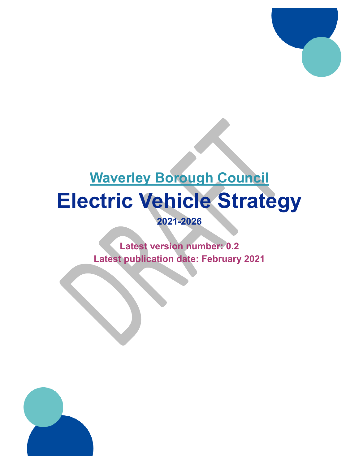

# **Waverley Borough Council Electric Vehicle Strategy**

**2021-2026**

**Latest version number: 0.2 Latest publication date: February 2021**

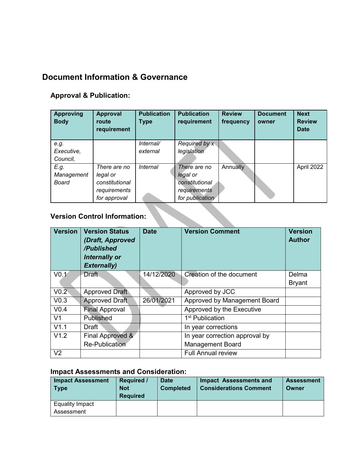# <span id="page-1-0"></span>**Document Information & Governance**

## **Approval & Publication:**

| <b>Approving</b><br><b>Body</b>     | <b>Approval</b><br>route<br>requirement | <b>Publication</b><br><b>Type</b> | <b>Publication</b><br>requirement | <b>Review</b><br>frequency | <b>Document</b><br>owner | <b>Next</b><br><b>Review</b><br><b>Date</b> |
|-------------------------------------|-----------------------------------------|-----------------------------------|-----------------------------------|----------------------------|--------------------------|---------------------------------------------|
| e.g.                                |                                         | Internal/                         | Required by x                     |                            |                          |                                             |
| Executive,                          |                                         | external                          | legislation                       |                            |                          |                                             |
| Council,                            |                                         |                                   |                                   |                            |                          |                                             |
| E.g.                                | There are no                            | Internal                          | There are no                      | Annually                   |                          | April 2022                                  |
| Management                          | legal or                                |                                   | legal or                          |                            |                          |                                             |
| <b>Board</b>                        | constitutional                          |                                   | constitutional                    |                            |                          |                                             |
|                                     | requirements                            |                                   | requirements                      |                            |                          |                                             |
|                                     | for approval                            |                                   | for publication                   |                            |                          |                                             |
| <b>Version Control Information:</b> |                                         |                                   |                                   |                            |                          |                                             |

# **Version Control Information:**

| <b>Version</b>   | <b>Version Status</b><br>(Draft, Approved<br>/Published<br><b>Internally or</b><br><b>Externally)</b> | <b>Date</b> | <b>Version Comment</b>         | <b>Version</b><br><b>Author</b> |
|------------------|-------------------------------------------------------------------------------------------------------|-------------|--------------------------------|---------------------------------|
| V <sub>0.1</sub> | <b>Draft</b>                                                                                          | 14/12/2020  | Creation of the document       | Delma                           |
|                  |                                                                                                       |             |                                | <b>Bryant</b>                   |
| V <sub>0.2</sub> | <b>Approved Draft</b>                                                                                 |             | Approved by JCC                |                                 |
| V <sub>0.3</sub> | <b>Approved Draft</b>                                                                                 | 26/01/2021  | Approved by Management Board   |                                 |
| V <sub>0.4</sub> | <b>Final Approval</b>                                                                                 |             | Approved by the Executive      |                                 |
| V <sub>1</sub>   | Published                                                                                             |             | 1 <sup>st</sup> Publication    |                                 |
| V1.1             | Draft                                                                                                 |             | In year corrections            |                                 |
| V1.2             | Final Approved &                                                                                      |             | In year correction approval by |                                 |
|                  | Re-Publication                                                                                        |             | <b>Management Board</b>        |                                 |
| V <sub>2</sub>   |                                                                                                       |             | <b>Full Annual review</b>      |                                 |

## **Impact Assessments and Consideration:**

| <b>Impact Assessment</b><br><b>Type</b> | <b>Required /</b><br><b>Not</b><br><b>Required</b> | <b>Date</b><br><b>Completed</b> | Impact Assessments and<br><b>Considerations Comment</b> | <b>Assessment</b><br>Owner |
|-----------------------------------------|----------------------------------------------------|---------------------------------|---------------------------------------------------------|----------------------------|
| <b>Equality Impact</b>                  |                                                    |                                 |                                                         |                            |
| Assessment                              |                                                    |                                 |                                                         |                            |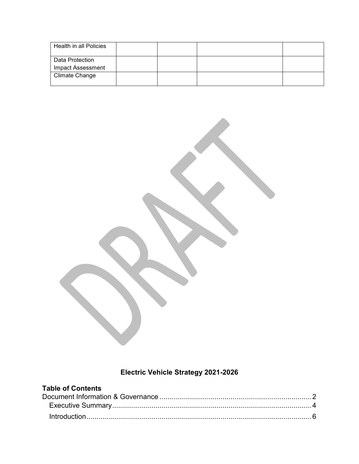| Health in all Policies                      |  |  |
|---------------------------------------------|--|--|
| Data Protection<br><b>Impact Assessment</b> |  |  |
| Climate Change                              |  |  |

# **Electric Vehicle Strategy 2021-2026**

| <b>Table of Contents</b> |  |
|--------------------------|--|
|                          |  |
|                          |  |
|                          |  |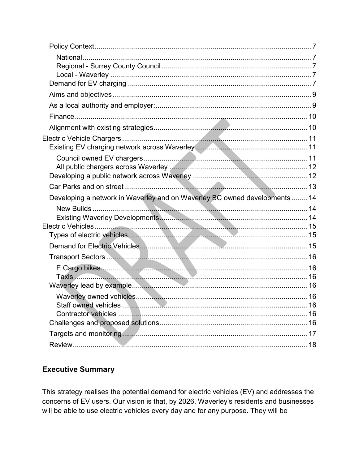| Developing a network in Waverley and on Waverley BC owned developments  14 |  |
|----------------------------------------------------------------------------|--|
|                                                                            |  |
|                                                                            |  |
|                                                                            |  |
|                                                                            |  |
|                                                                            |  |
|                                                                            |  |
|                                                                            |  |
|                                                                            |  |
|                                                                            |  |
|                                                                            |  |
|                                                                            |  |
|                                                                            |  |
|                                                                            |  |
|                                                                            |  |
|                                                                            |  |

# <span id="page-3-0"></span>**Executive Summary**

This strategy realises the potential demand for electric vehicles (EV) and addresses the concerns of EV users. Our vision is that, by 2026, Waverley's residents and businesses will be able to use electric vehicles every day and for any purpose. They will be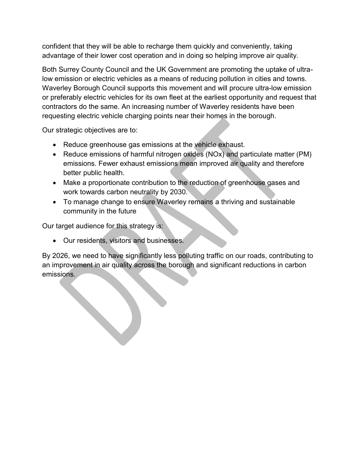confident that they will be able to recharge them quickly and conveniently, taking advantage of their lower cost operation and in doing so helping improve air quality.

Both Surrey County Council and the UK Government are promoting the uptake of ultralow emission or electric vehicles as a means of reducing pollution in cities and towns. Waverley Borough Council supports this movement and will procure ultra-low emission or preferably electric vehicles for its own fleet at the earliest opportunity and request that contractors do the same. An increasing number of Waverley residents have been requesting electric vehicle charging points near their homes in the borough.

Our strategic objectives are to:

- Reduce greenhouse gas emissions at the vehicle exhaust.
- Reduce emissions of harmful nitrogen oxides (NOx) and particulate matter (PM) emissions. Fewer exhaust emissions mean improved air quality and therefore better public health.
- Make a proportionate contribution to the reduction of greenhouse gases and work towards carbon neutrality by 2030.
- To manage change to ensure Waverley remains a thriving and sustainable community in the future

Our target audience for this strategy is:

Our residents, visitors and businesses.

By 2026, we need to have significantly less polluting traffic on our roads, contributing to an improvement in air quality across the borough and significant reductions in carbon emissions.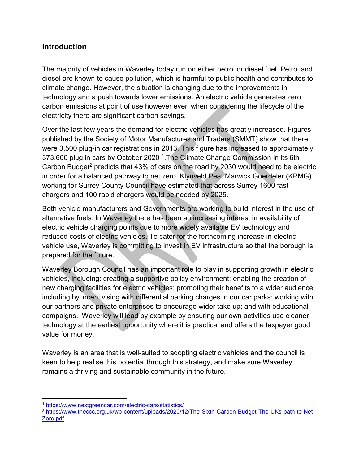# <span id="page-5-0"></span>**Introduction**

The majority of vehicles in Waverley today run on either petrol or diesel fuel. Petrol and diesel are known to cause pollution, which is harmful to public health and contributes to climate change. However, the situation is changing due to the improvements in technology and a push towards lower emissions. An electric vehicle generates zero carbon emissions at point of use however even when considering the lifecycle of the electricity there are significant carbon savings.

Over the last few years the demand for electric vehicles has greatly increased. Figures published by the Society of Motor Manufactures and Traders (SMMT) show that there were 3,500 plug-in car registrations in 2013. This figure has increased to approximately 373,600 plug in cars by October 2020<sup>1</sup>. The Climate Change Commission in its 6th Carbon Budget<sup>2</sup> predicts that 43% of cars on the road by 2030 would need to be electric in order for a balanced pathway to net zero. Klynveld Peat Marwick Goerdeler (KPMG) working for Surrey County Council have estimated that across Surrey 1600 fast chargers and 100 rapid chargers would be needed by 2025.

Both vehicle manufacturers and Governments are working to build interest in the use of alternative fuels. In Waverley there has been an increasing interest in availability of electric vehicle charging points due to more widely available EV technology and reduced costs of electric vehicles. To cater for the forthcoming increase in electric vehicle use, Waverley is committing to invest in EV infrastructure so that the borough is prepared for the future.

Waverley Borough Council has an important role to play in supporting growth in electric vehicles, including: creating a supportive policy environment; enabling the creation of new charging facilities for electric vehicles; promoting their benefits to a wider audience including by incentivising with differential parking charges in our car parks; working with our partners and private enterprises to encourage wider take up; and with educational campaigns. Waverley will lead by example by ensuring our own activities use cleaner technology at the earliest opportunity where it is practical and offers the taxpayer good value for money.

Waverley is an area that is well-suited to adopting electric vehicles and the council is keen to help realise this potential through this strategy, and make sure Waverley remains a thriving and sustainable community in the future..

 $\overline{a}$ 

<sup>1</sup> <https://www.nextgreencar.com/electric-cars/statistics/>

<sup>&</sup>lt;sup>2</sup> [https://www.theccc.org.uk/wp-content/uploads/2020/12/The-Sixth-Carbon-Budget-The-UKs-path-to-Net-](https://www.theccc.org.uk/wp-content/uploads/2020/12/The-Sixth-Carbon-Budget-The-UKs-path-to-Net-Zero.pdf)[Zero.pdf](https://www.theccc.org.uk/wp-content/uploads/2020/12/The-Sixth-Carbon-Budget-The-UKs-path-to-Net-Zero.pdf)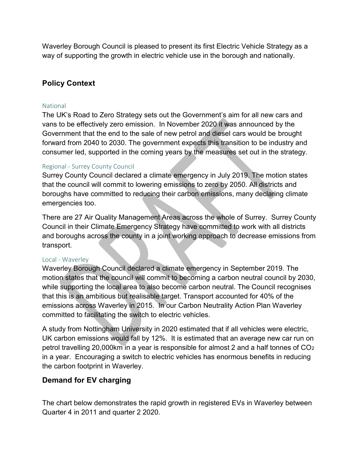Waverley Borough Council is pleased to present its first Electric Vehicle Strategy as a way of supporting the growth in electric vehicle use in the borough and nationally.

# <span id="page-6-0"></span>**Policy Context**

#### <span id="page-6-1"></span>National

The UK's Road to Zero Strategy sets out the Government's aim for all new cars and vans to be effectively zero emission. In November 2020 it was announced by the Government that the end to the sale of new petrol and diesel cars would be brought forward from 2040 to 2030. The government expects this transition to be industry and consumer led, supported in the coming years by the measures set out in the strategy.

#### <span id="page-6-2"></span>Regional - Surrey County Council

Surrey County Council declared a climate emergency in July 2019. The motion states that the council will commit to lowering emissions to zero by 2050. All districts and boroughs have committed to reducing their carbon emissions, many declaring climate emergencies too.

There are 27 Air Quality Management Areas across the whole of Surrey. Surrey County Council in their Climate Emergency Strategy have committed to work with all districts and boroughs across the county in a joint working approach to decrease emissions from transport.

#### <span id="page-6-3"></span>Local - Waverley

Waverley Borough Council declared a climate emergency in September 2019. The motion states that the council will commit to becoming a carbon neutral council by 2030, while supporting the local area to also become carbon neutral. The Council recognises that this is an ambitious but realisable target. Transport accounted for 40% of the emissions across Waverley in 2015. In our Carbon Neutrality Action Plan Waverley committed to facilitating the switch to electric vehicles.

A study from Nottingham University in 2020 estimated that if all vehicles were electric, UK carbon emissions would fall by 12%. It is estimated that an average new car run on petrol travelling 20,000km in a year is responsible for almost 2 and a half tonnes of CO<sub>2</sub> in a year. Encouraging a switch to electric vehicles has enormous benefits in reducing the carbon footprint in Waverley.

# <span id="page-6-4"></span>**Demand for EV charging**

The chart below demonstrates the rapid growth in registered EVs in Waverley between Quarter 4 in 2011 and quarter 2 2020.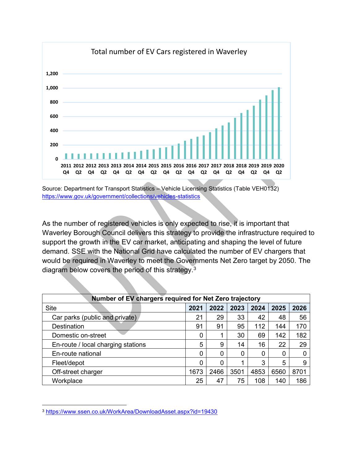

Source: Department for Transport Statistics – Vehicle Licensing Statistics (Table VEH0132) <https://www.gov.uk/government/collections/vehicles-statistics>

As the number of registered vehicles is only expected to rise, it is important that Waverley Borough Council delivers this strategy to provide the infrastructure required to support the growth in the EV car market, anticipating and shaping the level of future demand. SSE with the National Grid have calculated the number of EV chargers that would be required in Waverley to meet the Governments Net Zero target by 2050. The diagram below covers the period of this strategy.<sup>3</sup>

| Number of EV chargers required for Net Zero trajectory |      |      |      |      |      |      |
|--------------------------------------------------------|------|------|------|------|------|------|
| <b>Site</b>                                            | 2021 | 2022 | 2023 | 2024 | 2025 | 2026 |
| Car parks (public and private)                         |      | 29   | 33   | 42   | 48   | 56   |
| Destination                                            |      | 91   | 95   | 112  | 144  | 170  |
| Domestic on-street                                     |      | 1    | 30   | 69   | 142  | 182  |
| En-route / local charging stations                     |      | 9    | 14   | 16   | 22   | 29   |
| En-route national                                      |      | 0    | 0    | 0    | 0    | 0    |
| Fleet/depot                                            |      | 0    |      | 3    | 5    | 9    |
| Off-street charger                                     |      | 2466 | 3501 | 4853 | 6560 | 8701 |
| Workplace                                              | 25   | 47   | 75   | 108  | 140  | 186  |

<sup>3</sup> <https://www.ssen.co.uk/WorkArea/DownloadAsset.aspx?id=19430>

 $\overline{a}$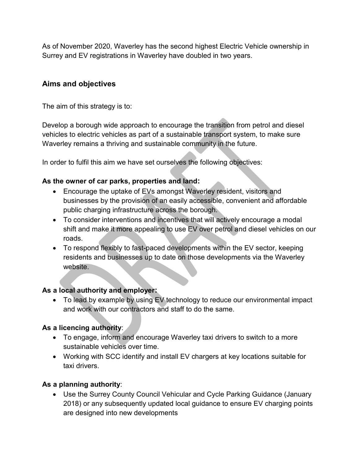As of November 2020, Waverley has the second highest Electric Vehicle ownership in Surrey and EV registrations in Waverley have doubled in two years.

# <span id="page-8-0"></span>**Aims and objectives**

The aim of this strategy is to:

Develop a borough wide approach to encourage the transition from petrol and diesel vehicles to electric vehicles as part of a sustainable transport system, to make sure Waverley remains a thriving and sustainable community in the future.

In order to fulfil this aim we have set ourselves the following objectives:

## **As the owner of car parks, properties and land:**

- Encourage the uptake of EVs amongst Waverley resident, visitors and businesses by the provision of an easily accessible, convenient and affordable public charging infrastructure across the borough.
- To consider interventions and incentives that will actively encourage a modal shift and make it more appealing to use EV over petrol and diesel vehicles on our roads.
- To respond flexibly to fast-paced developments within the EV sector, keeping residents and businesses up to date on those developments via the Waverley website.

# <span id="page-8-1"></span>**As a local authority and employer:**

• To lead by example by using EV technology to reduce our environmental impact and work with our contractors and staff to do the same.

# **As a licencing authority**:

- To engage, inform and encourage Waverley taxi drivers to switch to a more sustainable vehicles over time.
- Working with SCC identify and install EV chargers at key locations suitable for taxi drivers.

# **As a planning authority**:

 Use the Surrey County Council Vehicular and Cycle Parking Guidance (January 2018) or any subsequently updated local guidance to ensure EV charging points are designed into new developments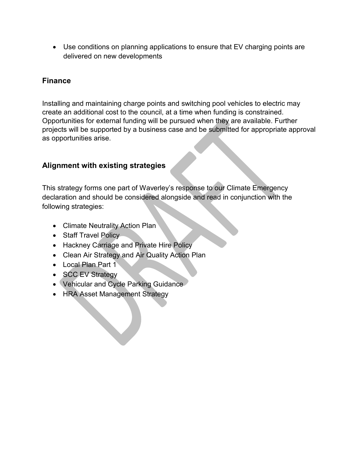Use conditions on planning applications to ensure that EV charging points are delivered on new developments

# <span id="page-9-0"></span>**Finance**

Installing and maintaining charge points and switching pool vehicles to electric may create an additional cost to the council, at a time when funding is constrained. Opportunities for external funding will be pursued when they are available. Further projects will be supported by a business case and be submitted for appropriate approval as opportunities arise.

# <span id="page-9-1"></span>**Alignment with existing strategies**

This strategy forms one part of Waverley's response to our Climate Emergency declaration and should be considered alongside and read in conjunction with the following strategies:

- Climate Neutrality Action Plan
- Staff Travel Policy
- Hackney Carriage and Private Hire Policy
- Clean Air Strategy and Air Quality Action Plan
- Local Plan Part 1
- SCC EV Strategy
- Vehicular and Cycle Parking Guidance
- HRA Asset Management Strategy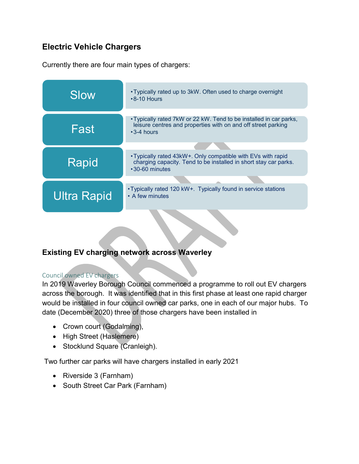# <span id="page-10-0"></span>**Electric Vehicle Chargers**

Currently there are four main types of chargers:



# <span id="page-10-1"></span>**Existing EV charging network across Waverley**

#### <span id="page-10-2"></span>Council owned EV chargers

In 2019 Waverley Borough Council commenced a programme to roll out EV chargers across the borough. It was identified that in this first phase at least one rapid charger would be installed in four council owned car parks, one in each of our major hubs. To date (December 2020) three of those chargers have been installed in

- Crown court (Godalming),
- High Street (Haslemere)
- Stocklund Square (Cranleigh).

Two further car parks will have chargers installed in early 2021

- Riverside 3 (Farnham)
- South Street Car Park (Farnham)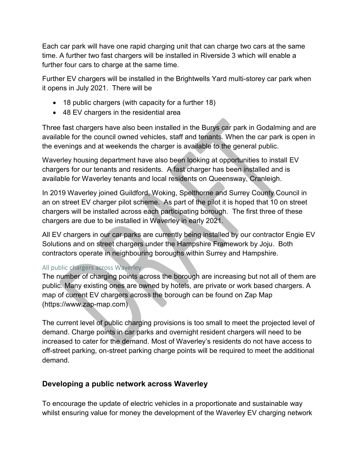Each car park will have one rapid charging unit that can charge two cars at the same time. A further two fast chargers will be installed in Riverside 3 which will enable a further four cars to charge at the same time.

Further EV chargers will be installed in the Brightwells Yard multi-storey car park when it opens in July 2021. There will be

- 18 public chargers (with capacity for a further 18)
- 48 EV chargers in the residential area

Three fast chargers have also been installed in the Burys car park in Godalming and are available for the council owned vehicles, staff and tenants. When the car park is open in the evenings and at weekends the charger is available to the general public.

Waverley housing department have also been looking at opportunities to install EV chargers for our tenants and residents. A fast charger has been installed and is available for Waverley tenants and local residents on Queensway, Cranleigh.

In 2019 Waverley joined Guildford, Woking, Spelthorne and Surrey County Council in an on street EV charger pilot scheme. As part of the pilot it is hoped that 10 on street chargers will be installed across each participating borough. The first three of these chargers are due to be installed in Waverley in early 2021.

All EV chargers in our car parks are currently being installed by our contractor Engie EV Solutions and on street chargers under the Hampshire Framework by Joju. Both contractors operate in neighbouring boroughs within Surrey and Hampshire.

# <span id="page-11-0"></span>All public chargers across Waverley

The number of charging points across the borough are increasing but not all of them are public. Many existing ones are owned by hotels, are private or work based chargers. A map of current EV chargers across the borough can be found on Zap Map (https://www.zap-map.com)

The current level of public charging provisions is too small to meet the projected level of demand. Charge points in car parks and overnight resident chargers will need to be increased to cater for the demand. Most of Waverley's residents do not have access to off-street parking, on-street parking charge points will be required to meet the additional demand.

# <span id="page-11-1"></span>**Developing a public network across Waverley**

To encourage the update of electric vehicles in a proportionate and sustainable way whilst ensuring value for money the development of the Waverley EV charging network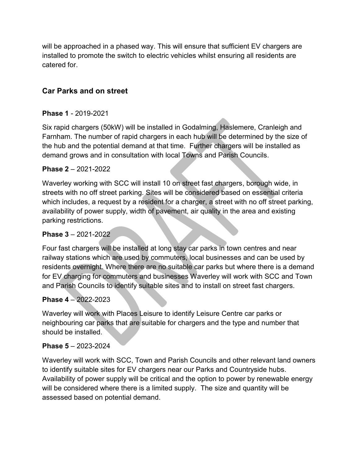will be approached in a phased way. This will ensure that sufficient EV chargers are installed to promote the switch to electric vehicles whilst ensuring all residents are catered for.

# <span id="page-12-0"></span>**Car Parks and on street**

#### **Phase 1** - 2019-2021

Six rapid chargers (50kW) will be installed in Godalming, Haslemere, Cranleigh and Farnham. The number of rapid chargers in each hub will be determined by the size of the hub and the potential demand at that time. Further chargers will be installed as demand grows and in consultation with local Towns and Parish Councils.

#### **Phase 2** – 2021-2022

Waverley working with SCC will install 10 on street fast chargers, borough wide, in streets with no off street parking. Sites will be considered based on essential criteria which includes, a request by a resident for a charger, a street with no off street parking, availability of power supply, width of pavement, air quality in the area and existing parking restrictions.

#### **Phase 3** – 2021-2022

Four fast chargers will be installed at long stay car parks in town centres and near railway stations which are used by commuters, local businesses and can be used by residents overnight. Where there are no suitable car parks but where there is a demand for EV charging for commuters and businesses Waverley will work with SCC and Town and Parish Councils to identify suitable sites and to install on street fast chargers.

#### **Phase 4** – 2022-2023

Waverley will work with Places Leisure to identify Leisure Centre car parks or neighbouring car parks that are suitable for chargers and the type and number that should be installed.

#### **Phase 5** – 2023-2024

Waverley will work with SCC, Town and Parish Councils and other relevant land owners to identify suitable sites for EV chargers near our Parks and Countryside hubs. Availability of power supply will be critical and the option to power by renewable energy will be considered where there is a limited supply. The size and quantity will be assessed based on potential demand.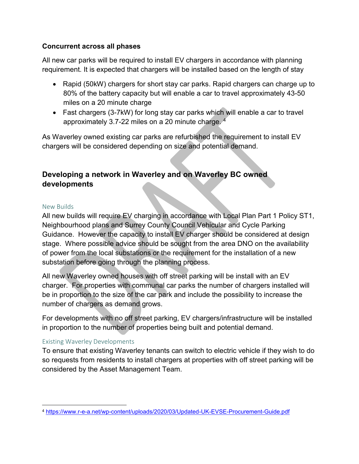### **Concurrent across all phases**

All new car parks will be required to install EV chargers in accordance with planning requirement. It is expected that chargers will be installed based on the length of stay

- Rapid (50kW) chargers for short stay car parks. Rapid chargers can charge up to 80% of the battery capacity but will enable a car to travel approximately 43-50 miles on a 20 minute charge
- Fast chargers (3-7kW) for long stay car parks which will enable a car to travel approximately 3.7-22 miles on a 20 minute charge. 4

As Waverley owned existing car parks are refurbished the requirement to install EV chargers will be considered depending on size and potential demand.

# <span id="page-13-0"></span>**Developing a network in Waverley and on Waverley BC owned developments**

#### <span id="page-13-1"></span>New Builds

All new builds will require EV charging in accordance with Local Plan Part 1 Policy ST1, Neighbourhood plans and Surrey County Council Vehicular and Cycle Parking Guidance. However the capacity to install EV charger should be considered at design stage. Where possible advice should be sought from the area DNO on the availability of power from the local substations or the requirement for the installation of a new substation before going through the planning process.

All new Waverley owned houses with off street parking will be install with an EV charger. For properties with communal car parks the number of chargers installed will be in proportion to the size of the car park and include the possibility to increase the number of chargers as demand grows.

For developments with no off street parking, EV chargers/infrastructure will be installed in proportion to the number of properties being built and potential demand.

#### <span id="page-13-2"></span>Existing Waverley Developments

To ensure that existing Waverley tenants can switch to electric vehicle if they wish to do so requests from residents to install chargers at properties with off street parking will be considered by the Asset Management Team.

 $\overline{a}$ <sup>4</sup> <https://www.r-e-a.net/wp-content/uploads/2020/03/Updated-UK-EVSE-Procurement-Guide.pdf>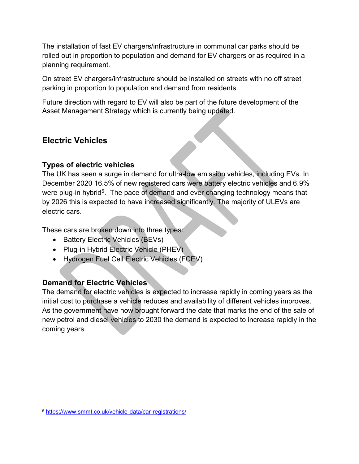The installation of fast EV chargers/infrastructure in communal car parks should be rolled out in proportion to population and demand for EV chargers or as required in a planning requirement.

On street EV chargers/infrastructure should be installed on streets with no off street parking in proportion to population and demand from residents.

Future direction with regard to EV will also be part of the future development of the Asset Management Strategy which is currently being updated.

# <span id="page-14-0"></span>**Electric Vehicles**

## <span id="page-14-1"></span>**Types of electric vehicles**

The UK has seen a surge in demand for ultra-low emission vehicles, including EVs. In December 2020 16.5% of new registered cars were battery electric vehicles and 6.9% were plug-in hybrid<sup>5</sup>. The pace of demand and ever changing technology means that by 2026 this is expected to have increased significantly. The majority of ULEVs are electric cars.

These cars are broken down into three types:

- Battery Electric Vehicles (BEVs)
- Plug-in Hybrid Electric Vehicle (PHEV)
- Hydrogen Fuel Cell Electric Vehicles (FCEV)

# <span id="page-14-2"></span>**Demand for Electric Vehicles**

The demand for electric vehicles is expected to increase rapidly in coming years as the initial cost to purchase a vehicle reduces and availability of different vehicles improves. As the government have now brought forward the date that marks the end of the sale of new petrol and diesel vehicles to 2030 the demand is expected to increase rapidly in the coming years.

 $\overline{a}$ 

<sup>5</sup> <https://www.smmt.co.uk/vehicle-data/car-registrations/>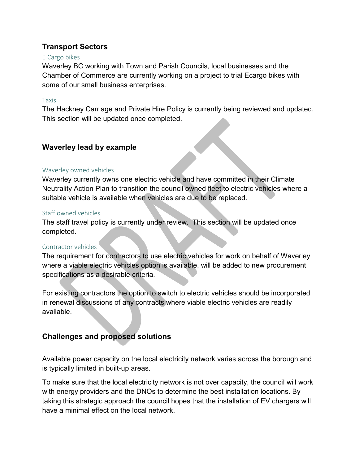# <span id="page-15-0"></span>**Transport Sectors**

#### <span id="page-15-1"></span>E Cargo bikes

Waverley BC working with Town and Parish Councils, local businesses and the Chamber of Commerce are currently working on a project to trial Ecargo bikes with some of our small business enterprises.

#### <span id="page-15-2"></span>Taxis

The Hackney Carriage and Private Hire Policy is currently being reviewed and updated. This section will be updated once completed.

# <span id="page-15-3"></span>**Waverley lead by example**

#### <span id="page-15-4"></span>Waverley owned vehicles

Waverley currently owns one electric vehicle and have committed in their Climate Neutrality Action Plan to transition the council owned fleet to electric vehicles where a suitable vehicle is available when vehicles are due to be replaced.

#### <span id="page-15-5"></span>Staff owned vehicles

The staff travel policy is currently under review. This section will be updated once completed.

#### <span id="page-15-6"></span>Contractor vehicles

The requirement for contractors to use electric vehicles for work on behalf of Waverley where a viable electric vehicles option is available, will be added to new procurement specifications as a desirable criteria.

For existing contractors the option to switch to electric vehicles should be incorporated in renewal discussions of any contracts where viable electric vehicles are readily available.

# <span id="page-15-7"></span>**Challenges and proposed solutions**

Available power capacity on the local electricity network varies across the borough and is typically limited in built-up areas.

To make sure that the local electricity network is not over capacity, the council will work with energy providers and the DNOs to determine the best installation locations. By taking this strategic approach the council hopes that the installation of EV chargers will have a minimal effect on the local network.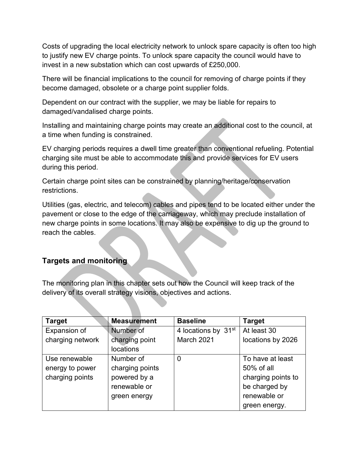Costs of upgrading the local electricity network to unlock spare capacity is often too high to justify new EV charge points. To unlock spare capacity the council would have to invest in a new substation which can cost upwards of £250,000.

There will be financial implications to the council for removing of charge points if they become damaged, obsolete or a charge point supplier folds.

Dependent on our contract with the supplier, we may be liable for repairs to damaged/vandalised charge points.

Installing and maintaining charge points may create an additional cost to the council, at a time when funding is constrained.

EV charging periods requires a dwell time greater than conventional refueling. Potential charging site must be able to accommodate this and provide services for EV users during this period.

Certain charge point sites can be constrained by planning/heritage/conservation restrictions.

Utilities (gas, electric, and telecom) cables and pipes tend to be located either under the pavement or close to the edge of the carriageway, which may preclude installation of new charge points in some locations. It may also be expensive to dig up the ground to reach the cables.

# <span id="page-16-0"></span>**Targets and monitoring**

The monitoring plan in this chapter sets out how the Council will keep track of the delivery of its overall strategy visions, objectives and actions.

| <b>Target</b>    | <b>Measurement</b> | <b>Baseline</b>                 | <b>Target</b>      |
|------------------|--------------------|---------------------------------|--------------------|
| Expansion of     | Number of          | 4 locations by 31 <sup>st</sup> | At least 30        |
| charging network | charging point     | March 2021                      | locations by 2026  |
|                  | locations          |                                 |                    |
| Use renewable    | Number of          | 0                               | To have at least   |
| energy to power  | charging points    |                                 | 50% of all         |
| charging points  | powered by a       |                                 | charging points to |
|                  | renewable or       |                                 | be charged by      |
|                  | green energy       |                                 | renewable or       |
|                  |                    |                                 | green energy.      |